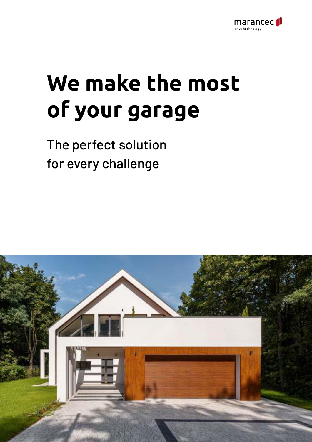

# **We make the most of your garage**

The perfect solution for every challenge

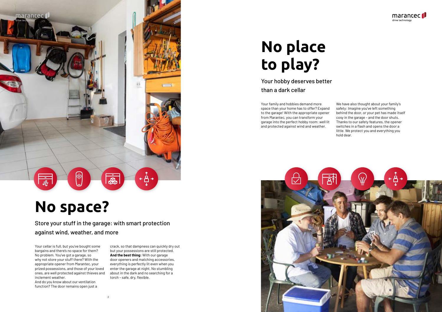





## **No space?**

Store your stuff in the garage: with smart protection against wind, weather, and more

# **No place to play?**

Your hobby deserves better than a dark cellar

Your cellar is full, but you've bought some bargains and there's no space for them? No problem. You've got a garage, so why not store your stuff there? With the appropriate opener from Marantec, your prized possessions, and those of your loved ones, are well protected against thieves and inclement weather.

And do you know about our ventilation function? The door remains open just a

crack, so that dampness can quickly dry out but your possessions are still protected. **And the best thing:** With our garage door openers and matching accessories, everything is perfectly lit even when you enter the garage at night. No stumbling about in the dark and no searching for a torch – safe, dry, flexible.

Your family and hobbies demand more space than your home has to offer? Expand to the garage! With the appropriate opener from Marantec, you can transform your garage into the perfect hobby room: well lit and protected against wind and weather.

We have also thought about your family's safety: Imagine you've left something behind the door, or your pet has made itself cosy in the garage – and the door shuts. Thanks to our safety features, the opener switches in a flash and opens the door a little. We protect you and everything you hold dear.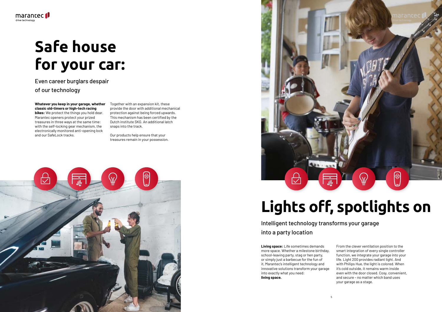





# **Safe house for your car:**

Even career burglars despair of our technology

**Whatever you keep in your garage, whether classic old-timers or high-tech racing bikes:** We protect the things you hold dear. Marantec openers protect your prized treasures in three ways at the same time: with the self-locking gear mechanism, the electronically monitored anti-opening lock and our SafeLock tracks.

Together with an expansion kit, these provide the door with additional mechanical protection against being forced upwards. This mechanism has been certified by the Dutch institute SKG. An additional latch snaps into the track.

Our products help ensure that your treasures remain in your possession.



S

 $\bigcirc$ 

Intelligent technology transforms your garage into a party location

**Living space:** Life sometimes demands more space. Whether a milestone birthday, school-leaving party, stag or hen party, or simply just a barbecue for the fun of it, Marantec's intelligent technology and innovative solutions transform your garage into exactly what you need: **living space.**

From the clever ventilation position to the smart integration of every single controller function, we integrate your garage into your life. Light 200 provides radiant light. And with Philips Hue, the light is colored. When it's cold outside, it remains warm inside even with the door closed. Cosy, convenient, and secure – no matter which band uses your garage as a stage.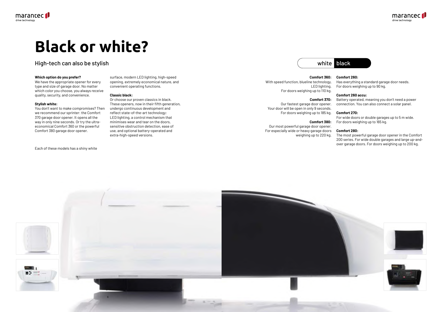





# **Black or white?**

### High-tech can also be stylish

#### **Which option do you prefer?**

We have the appropriate opener for every type and size of garage door. No matter which color you choose, you always receive quality, security, and convenience.

#### **Stylish white:**

You don't want to make compromises? Then we recommend our sprinter: the Comfort 370 garage door opener. It opens all the way in only nine seconds. Or try the ultraeconomical Comfort 360 or the powerful Comfort 380 garage door opener.

#### Each of these models has a shiny white

surface, modern LED lighting, high-speed opening, extremely economical nature, and convenient operating functions.

#### **Classic black:**

Or choose our proven classics in black. These openers, now in their fifth generation, undergo continuous development and reflect state-of-the-art technology: LED lighting, a control mechanism that minimises wear and tear on the doors, sensitive obstruction detection, ease of use, and optional battery-operated and extra-high-speed versions.

#### **Comfort 360:**

With speed function, blueline technology, LED lighting. For doors weighing up to 110 kg.

#### **Comfort 370:**

Our fastest garage door opener. Your door will be open in only 9 seconds. For doors weighing up to 185 kg.

### **Comfort 380:**

Our most powerful garage door opener. For especially wide or heavy garage doors weighing up to 220 kg.

### **Comfort 260:**

Has everything a standard garage door needs. For doors weighing up to 90 kg.

### **Comfort 260 accu:**

Battery operated, meaning you don't need a power connection. You can also connect a solar panel.

### **Comfort 270:**

For wide doors or double garages up to 5 m wide. For doors weighing up to 165 kg.

#### **Comfort 280:**

The most powerful garage door opener in the Comfort 200 series. For wide double garages and large up-andover garage doors. For doors weighing up to 200 kg.



### white black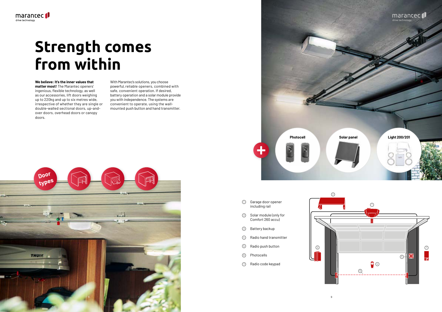9





## **Strength comes from within**

#### **We believe: It's the inner values that**

**matter most!** The Marantec openers' ingenious, flexible technology, as well as our accessories, lift doors weighing up to 220kg and up to six metres wide, irrespective of whether they are single or double-walled sectional doors, up-andover doors, overhead doors or canopy doors.



With Marantec's solutions, you choose powerful, reliable openers, combined with safe, convenient operation. If desired, battery operation and a solar module provide you with independence. The systems are convenient to operate, using the wallmounted push button and hand transmitter.

- <sup>1</sup> Garage door opener including rail
- <sup>2</sup> Solar module (only for Comfort 260 accu)
- <sup>3</sup> Battery backup
- <sup>4</sup> Radio hand transmitter
- <sup>5</sup> Radio push button
- <sup>6</sup> Photocells
- <sup>7</sup> Radio code keypad

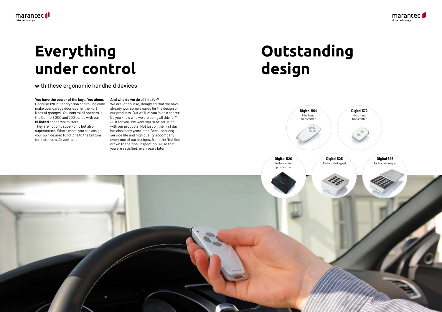**Digital 564** Mini hand transmitter



with these ergonomic handheld devices

**You have the power of the keys. You alone.**  Because 128-bit encryption and rolling code make your garage door opener the Fort Knox of garages. You control all openers in the Comfort 200 and 300 series with our bi·**linked** hand transmitters. They are not only super-chic but also supersecure. What's more, you can assign your own desired functions to the buttons, for instance safe ventilation.

marantec<sup>1</sup>

drive technology

#### **And who do we do all this for?**



We are, of course, delighted that we have already won some awards for the design of our products. But we'll let you in on a secret: Do you know who we are doing all this for? Just for you. We want you to be satisfied with our products. Not just on the first day, but also many years later. Because a long service life and high quality accompany every one of our designs, from the first line drawn to the final inspection. All so that you are satisfied, even years later.

> **Digital 520** Wall-mounted pushbutton

 $10$  11  $\pm 1$  11  $\pm 1$  11  $\pm 1$  11



# **Outstanding design**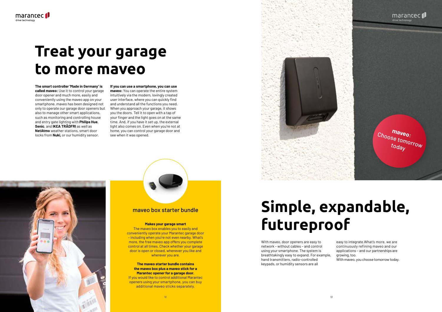

#### **Makes your garage smart**

The maveo box enables you to easily and conveniently operate your Marantec garage door – including when you're not even nearby. What's more, the free maveo app offers you complete control at all times. Check whether your garage door is open or closed, whenever you like and wherever you are.

#### **The maveo starter bundle contains the maveo box plus a maveo stick for a Marantec opener for a garage door.**

If you would like to control additional Marantec openers using your smartphone, you can buy additional maveo sticks separately.

maveo box starter bundle



## **Treat your garage to more maveo**

**The smart controller 'Made in Germany' is called maveo:** Use it to control your garage door opener and much more, easily and conveniently using the maveo app on your smartphone. maveo has been designed not only to operate our garage door openers but also to manage other smart applications, such as monitoring and controlling house and entry gate lighting with **Philips Hue**, **Senic**, and **IKEA TRÅDFRI** as well as **NetAtmo** weather stations, smart door locks from **Nuki,** or our humidity sensor.

**If you can use a smartphone, you can use maveo:** You can operate the entire system intuitively via the modern, lovingly created user interface, where you can quickly find and understand all the functions you need. When you approach your garage, it shows you the doors. Tell it to open with a tap of your finger and the light goes on at the same time. And, if you have it set up, the external light also comes on. Even when you're not at home, you can control your garage door and see when it was opened.

## **Simple, expandable, futureproof**

With maveo, door openers are easy to network – without cables – and control using your smartphone. The system is breathtakingly easy to expand. For example, hand transmitters, radio-controlled keypads, or humidity sensors are all

easy to integrate.What's more, we are continuously refining maveo and our applications – and our partnerships are growing, too.

With maveo, you choose tomorrow today.

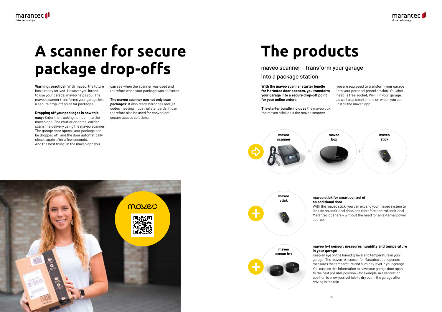





# **maveo sensor h+t**





# **A scanner for secure package drop-offs**

**Warning: practical!** With maveo, the future has already arrived. However you intend to use your garage, maveo helps you. The maveo scanner transforms your garage into a secure drop-off point for packages.

**Dropping off your packages is now this** 

**easy:** Enter the tracking number into the maveo app. The courier or parcel carrier scans the delivery using the maveo scanner. The garage door opens, your package can be dropped off, and the door automatically closes again after a few seconds. And the best thing: In the maveo app you

can see when the scanner was used and therefore when your package was delivered.

**The maveo scanner can not only scan packages:** It also reads barcodes and QR codes meeting industrial standards. It can therefore also be used for convenient, secure access solutions.

**With the maveo scanner starter bundle for Marantec door openers, you transform your garage into a secure drop-off point for your online orders.**

**The starter bundle includes** the maveo box, the maveo stick plus the maveo scanner –

you are equipped to transform your garage into your personal parcel station. You also need: a free socket, Wi-Fi in your garage, as well as a smartphone on which you can install the maveo app.

# **The products**

## **maveo stick for smart control of**

**an additional door** source.

With the maveo stick, you can expand your maveo system to include an additional door, and therefore control additional Marantec openers – without the need for an external power

### **maveo h+t sensor: measures humidity and temperature in your garage**

Keep an eye on the humidity level and temperature in your garage: The maveo h+t sensor for Marantec door openers measures the temperature and humidity level in your garage. You can use this information to have your garage door open to the best possible position – for example, in a ventilation position to allow your vehicle to dry out in the garage after driving in the rain.

maveo scanner – transform your garage

### into a package station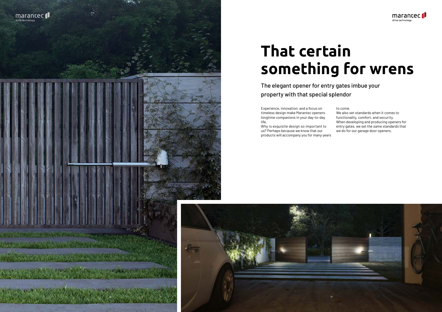





# **That certain something for wrens**

The elegant opener for entry gates imbue your property with that special splendor

Experience, innovation, and a focus on timeless design make Marantec openers longtime companions in your day-to-day life.

We also set standards when it comes to functionality, comfort, and security. When developing and producing openers for entry gates, we set the same standards that we do for our garage door openers.

Why is exquisite design so important to us? Perhaps because we know that our products will accompany you for many years to come.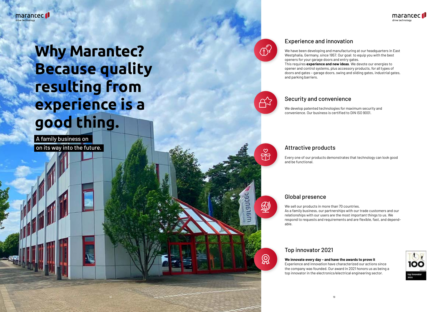18

# **Why Marantec? Because quality resulting from experience is a good thing.**

A family business on on its way into the future.



### Experience and innovation

We have been developing and manufacturing at our headquarters in East Westphalia, Germany, since 1957. Our goal: to equip you with the best openers for your garage doors and entry gates. This requires **experience and new ideas**. We devote our energies to opener and control systems, plus accessory products, for all types of doors and gates – garage doors, swing and sliding gates, industrial gates, and parking barriers.

### Security and convenience

We develop patented technologies for maximum security and convenience. Our business is certified to DIN ISO 9001.

### Attractive products

Every one of our products demonstrates that technology can look good and be functional.

### Global presence

We sell our products in more than 70 countries. As a family business, our partnerships with our trade customers and our relationships with our users are the most important things to us. We respond to requests and requirements and are flexible, fast, and dependable.

### Top innovator 2021

**We innovate every day – and have the awards to prove it** Experience and innovation have characterized our actions since the company was founded. Our award in 2021 honors us as being a top innovator in the electronics/electrical engineering sector.



 $\Omega$ 

**PH**